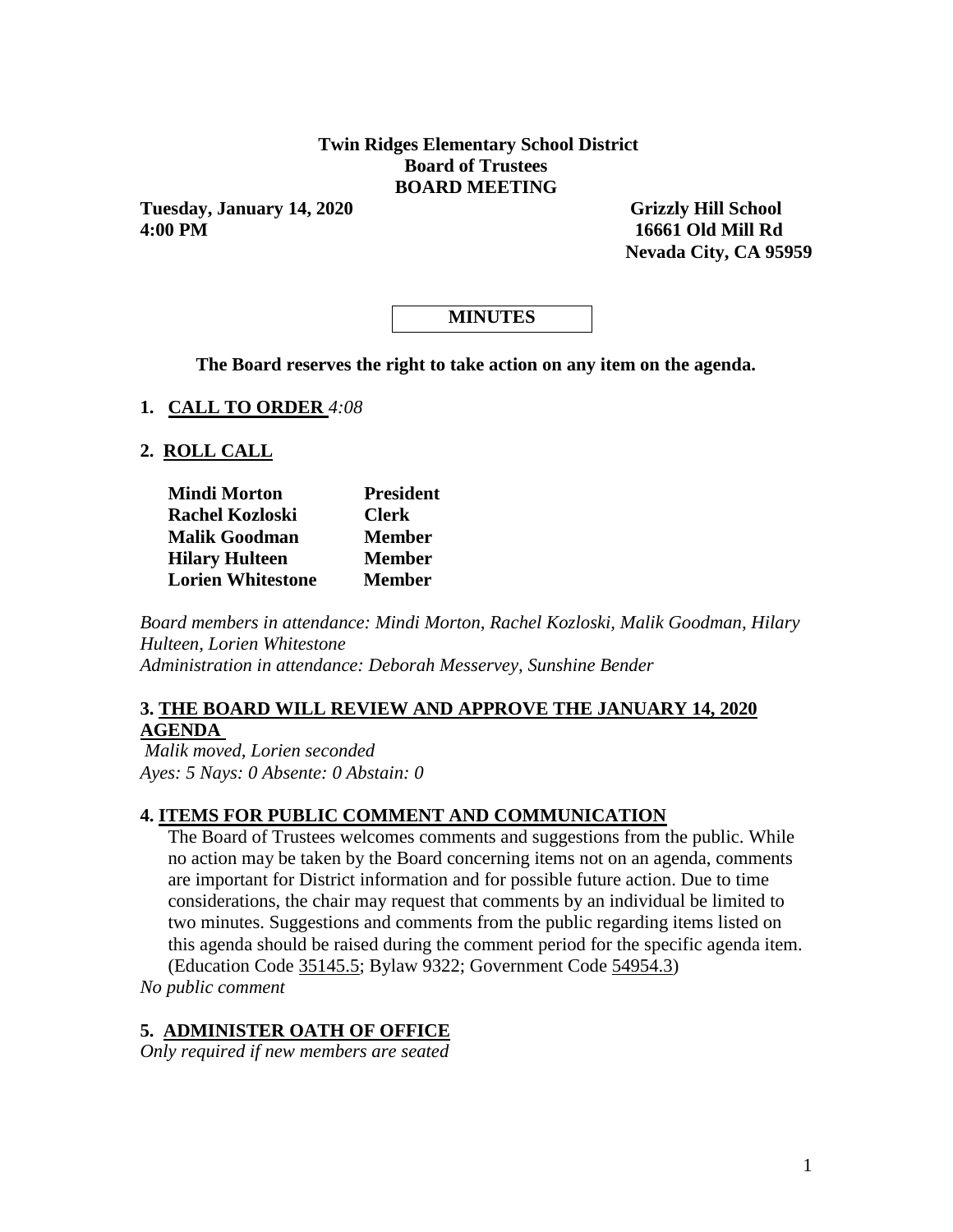### **Twin Ridges Elementary School District Board of Trustees BOARD MEETING**

**Tuesday, January 14, 2020 Grizzly Hill School 4:00 PM 16661 Old Mill Rd**

 **Nevada City, CA 95959** 

# **MINUTES**

**The Board reserves the right to take action on any item on the agenda.**

**1. CALL TO ORDER** *4:08*

#### **2. ROLL CALL**

| <b>Mindi Morton</b>      | <b>President</b> |  |  |  |
|--------------------------|------------------|--|--|--|
| <b>Rachel Kozloski</b>   | <b>Clerk</b>     |  |  |  |
| <b>Malik Goodman</b>     | <b>Member</b>    |  |  |  |
| <b>Hilary Hulteen</b>    | <b>Member</b>    |  |  |  |
| <b>Lorien Whitestone</b> | <b>Member</b>    |  |  |  |

*Board members in attendance: Mindi Morton, Rachel Kozloski, Malik Goodman, Hilary Hulteen, Lorien Whitestone Administration in attendance: Deborah Messervey, Sunshine Bender* 

#### **3. THE BOARD WILL REVIEW AND APPROVE THE JANUARY 14, 2020 AGENDA**

*Malik moved, Lorien seconded Ayes: 5 Nays: 0 Absente: 0 Abstain: 0* 

### **4. ITEMS FOR PUBLIC COMMENT AND COMMUNICATION**

The Board of Trustees welcomes comments and suggestions from the public. While no action may be taken by the Board concerning items not on an agenda, comments are important for District information and for possible future action. Due to time considerations, the chair may request that comments by an individual be limited to two minutes. Suggestions and comments from the public regarding items listed on this agenda should be raised during the comment period for the specific agenda item. (Education Code 35145.5; Bylaw 9322; Government Code 54954.3)

*No public comment* 

#### **5. ADMINISTER OATH OF OFFICE**

*Only required if new members are seated*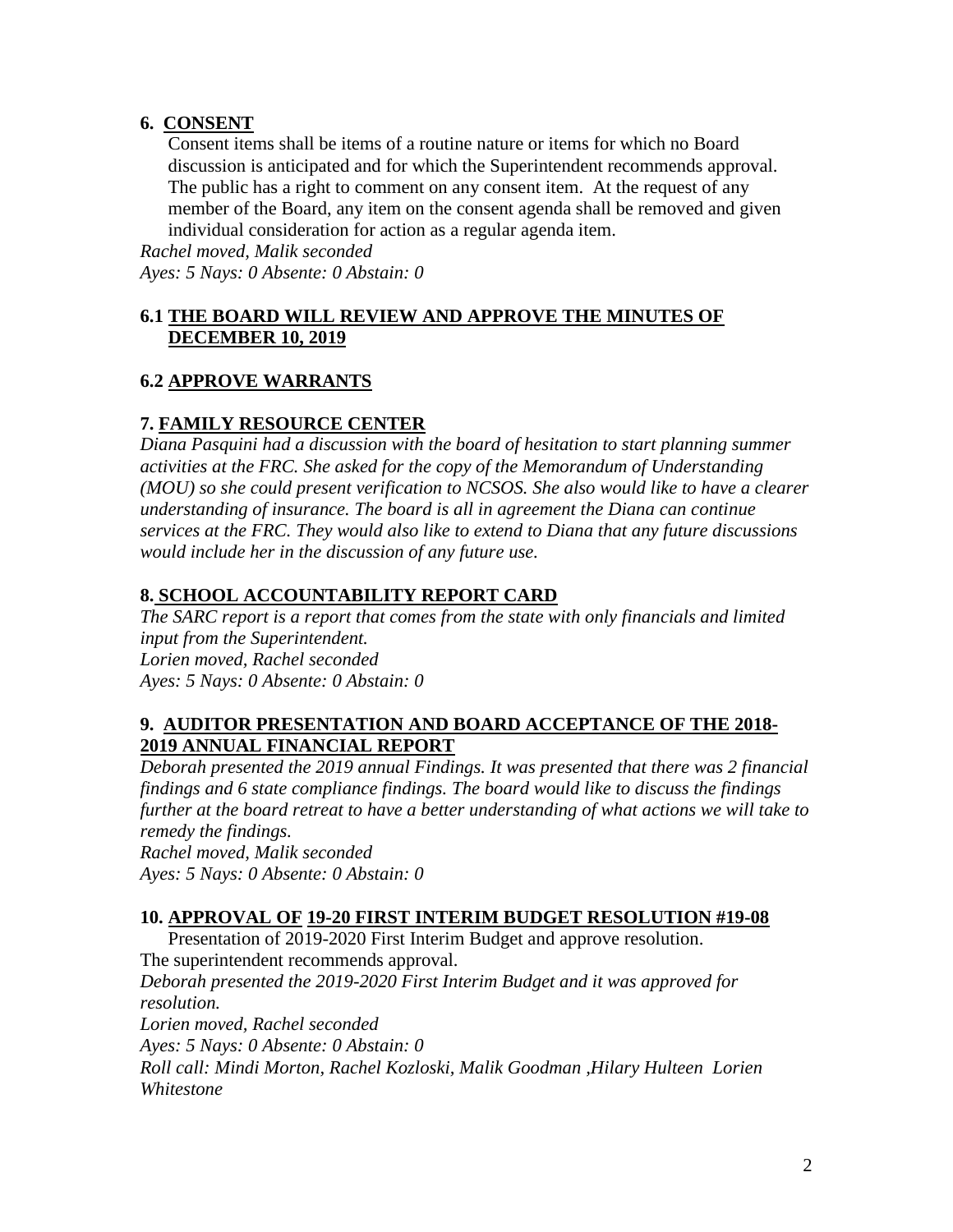# **6. CONSENT**

Consent items shall be items of a routine nature or items for which no Board discussion is anticipated and for which the Superintendent recommends approval. The public has a right to comment on any consent item. At the request of any member of the Board, any item on the consent agenda shall be removed and given individual consideration for action as a regular agenda item.

*Rachel moved, Malik seconded Ayes: 5 Nays: 0 Absente: 0 Abstain: 0* 

# **6.1 THE BOARD WILL REVIEW AND APPROVE THE MINUTES OF DECEMBER 10, 2019**

# **6.2 APPROVE WARRANTS**

# **7. FAMILY RESOURCE CENTER**

*Diana Pasquini had a discussion with the board of hesitation to start planning summer activities at the FRC. She asked for the copy of the Memorandum of Understanding (MOU) so she could present verification to NCSOS. She also would like to have a clearer understanding of insurance. The board is all in agreement the Diana can continue services at the FRC. They would also like to extend to Diana that any future discussions would include her in the discussion of any future use.* 

# **8. SCHOOL ACCOUNTABILITY REPORT CARD**

*The SARC report is a report that comes from the state with only financials and limited input from the Superintendent. Lorien moved, Rachel seconded Ayes: 5 Nays: 0 Absente: 0 Abstain: 0* 

### **9. AUDITOR PRESENTATION AND BOARD ACCEPTANCE OF THE 2018- 2019 ANNUAL FINANCIAL REPORT**

*Deborah presented the 2019 annual Findings. It was presented that there was 2 financial findings and 6 state compliance findings. The board would like to discuss the findings further at the board retreat to have a better understanding of what actions we will take to remedy the findings.*

*Rachel moved, Malik seconded Ayes: 5 Nays: 0 Absente: 0 Abstain: 0* 

### **10. APPROVAL OF 19-20 FIRST INTERIM BUDGET RESOLUTION #19-08**

Presentation of 2019-2020 First Interim Budget and approve resolution. The superintendent recommends approval. *Deborah presented the 2019-2020 First Interim Budget and it was approved for resolution. Lorien moved, Rachel seconded Ayes: 5 Nays: 0 Absente: 0 Abstain: 0 Roll call: Mindi Morton, Rachel Kozloski, Malik Goodman ,Hilary Hulteen Lorien Whitestone*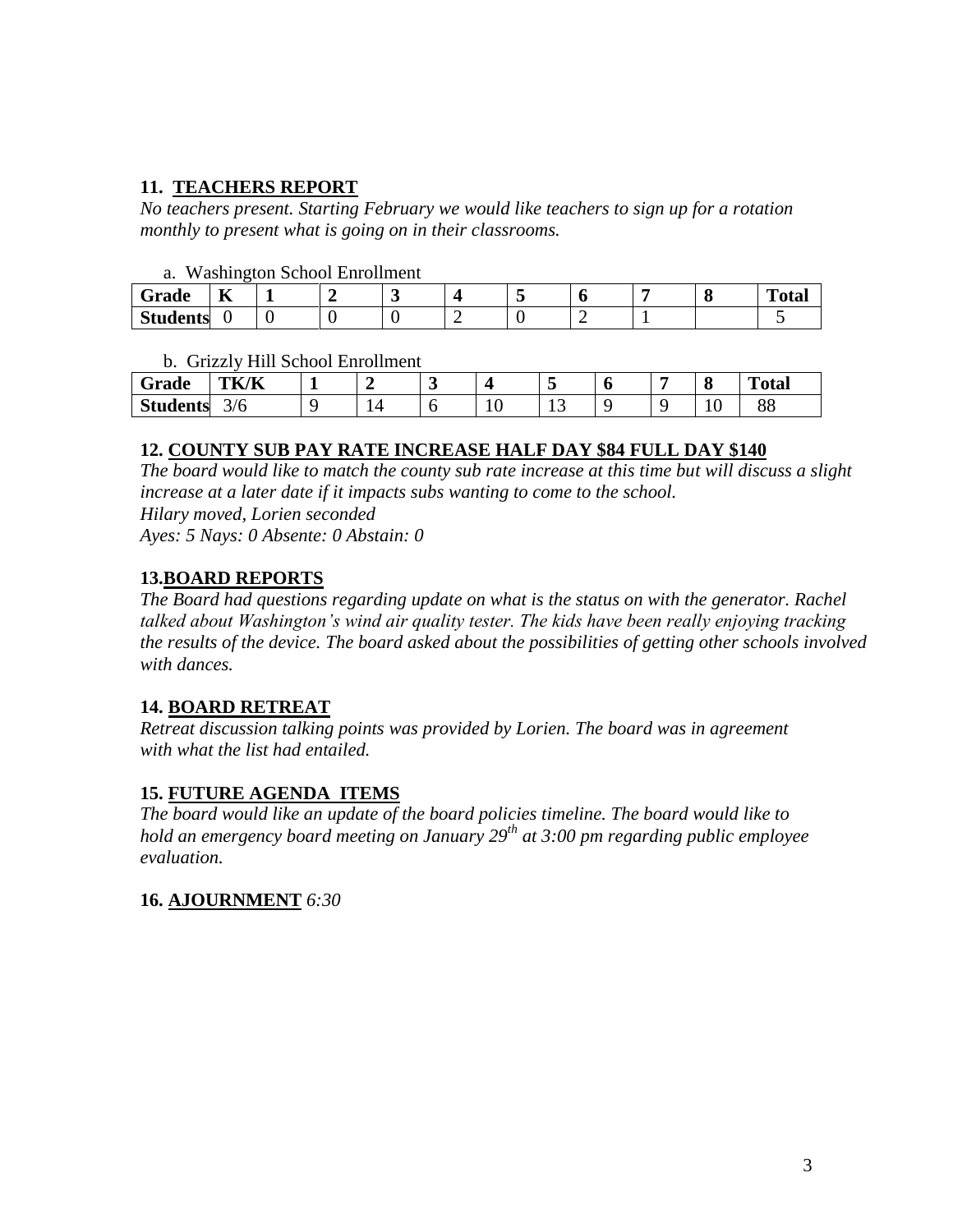## **11. TEACHERS REPORT**

*No teachers present. Starting February we would like teachers to sign up for a rotation monthly to present what is going on in their classrooms.* 

### a. Washington School Enrollment

| Grade               | --<br>T7 |  |  |  |  | <b>CONTRACTOR</b><br>''otar |
|---------------------|----------|--|--|--|--|-----------------------------|
| $C_{4}$<br>Students |          |  |  |  |  |                             |

### b. Grizzly Hill School Enrollment

| Grade           | TK/K                 | <u>_</u> | ັ |     |    |  | $\overline{\phantom{0}}$<br> | m<br>'otal |  |
|-----------------|----------------------|----------|---|-----|----|--|------------------------------|------------|--|
| <b>Students</b> | $\sim$ $\sim$<br>3/6 |          | ີ | 1 U | ⊥ື |  | `<br><b>.</b>                | oo<br>oο   |  |

### **12. COUNTY SUB PAY RATE INCREASE HALF DAY \$84 FULL DAY \$140**

*The board would like to match the county sub rate increase at this time but will discuss a slight increase at a later date if it impacts subs wanting to come to the school. Hilary moved, Lorien seconded Ayes: 5 Nays: 0 Absente: 0 Abstain: 0*

### **13.BOARD REPORTS**

*The Board had questions regarding update on what is the status on with the generator. Rachel talked about Washington's wind air quality tester. The kids have been really enjoying tracking the results of the device. The board asked about the possibilities of getting other schools involved with dances.* 

### **14. BOARD RETREAT**

*Retreat discussion talking points was provided by Lorien. The board was in agreement with what the list had entailed.* 

### **15. FUTURE AGENDA ITEMS**

*The board would like an update of the board policies timeline. The board would like to hold an emergency board meeting on January 29th at 3:00 pm regarding public employee evaluation.* 

**16. AJOURNMENT** *6:30*